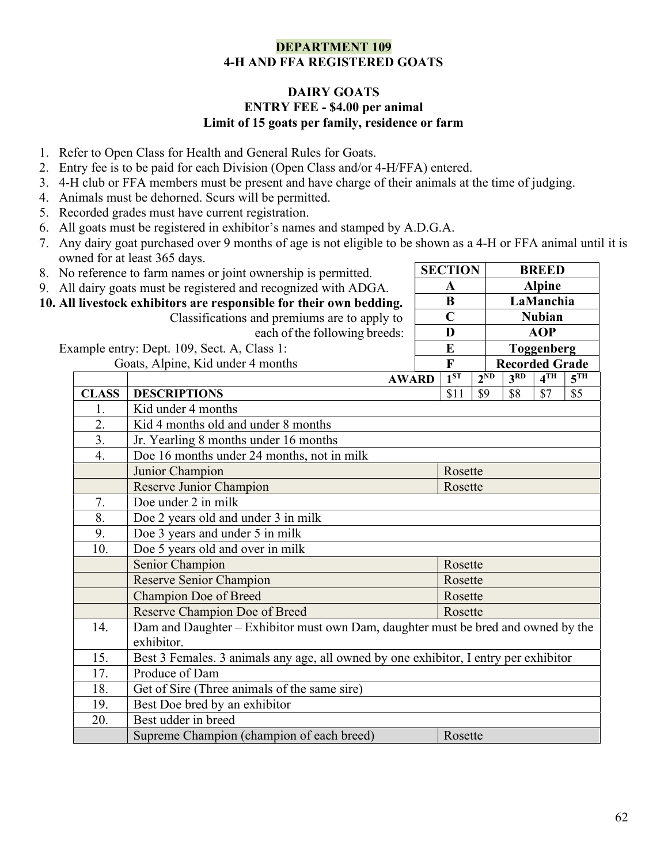## DEPARTMENT 109 4-H AND FFA REGISTERED GOATS

### DAIRY GOATS ENTRY FEE - \$4.00 per animal Limit of 15 goats per family, residence or farm

- 1. Refer to Open Class for Health and General Rules for Goats.
- 2. Entry fee is to be paid for each Division (Open Class and/or 4-H/FFA) entered.
- 3. 4-H club or FFA members must be present and have charge of their animals at the time of judging.
- 4. Animals must be dehorned. Scurs will be permitted.
- 5. Recorded grades must have current registration.
- 6. All goats must be registered in exhibitor's names and stamped by A.D.G.A.
- 7. Any dairy goat purchased over 9 months of age is not eligible to be shown as a 4-H or FFA animal until it is owned for at least 365 days. SECTION BREED

A Alpine B LaManchia C Nubian D AOP

- 8. No reference to farm names or joint ownership is permitted.
- 9. All dairy goats must be registered and recognized with ADGA.
- 10. All livestock exhibitors are responsible for their own bedding.

 Classifications and premiums are to apply to each of the following breeds:

| Example entry: Dept. 109, Sect. A, Class 1:                                                            |  | E               |          | <b>Toggenberg</b>     |                 |                 |
|--------------------------------------------------------------------------------------------------------|--|-----------------|----------|-----------------------|-----------------|-----------------|
| Goats, Alpine, Kid under 4 months                                                                      |  | $\mathbf{F}$    |          | <b>Recorded Grade</b> |                 |                 |
| <b>AWARD</b>                                                                                           |  | 1 <sup>ST</sup> | $2^{ND}$ | 3 <sup>RD</sup>       | 4 <sup>TH</sup> | 5 <sup>TH</sup> |
| <b>DESCRIPTIONS</b><br><b>CLASS</b>                                                                    |  | \$11            | \$9      | \$8                   | \$7             | \$5             |
| Kid under 4 months<br>1.                                                                               |  |                 |          |                       |                 |                 |
| 2.<br>Kid 4 months old and under 8 months                                                              |  |                 |          |                       |                 |                 |
| 3.<br>Jr. Yearling 8 months under 16 months                                                            |  |                 |          |                       |                 |                 |
| $\overline{4}$ .<br>Doe 16 months under 24 months, not in milk                                         |  |                 |          |                       |                 |                 |
| Junior Champion                                                                                        |  | Rosette         |          |                       |                 |                 |
| Reserve Junior Champion                                                                                |  | Rosette         |          |                       |                 |                 |
| Doe under 2 in milk<br>7.                                                                              |  |                 |          |                       |                 |                 |
| 8.<br>Doe 2 years old and under 3 in milk                                                              |  |                 |          |                       |                 |                 |
| 9.<br>Doe 3 years and under 5 in milk                                                                  |  |                 |          |                       |                 |                 |
| Doe 5 years old and over in milk<br>10.                                                                |  |                 |          |                       |                 |                 |
| Senior Champion                                                                                        |  | Rosette         |          |                       |                 |                 |
| <b>Reserve Senior Champion</b>                                                                         |  | Rosette         |          |                       |                 |                 |
| Champion Doe of Breed                                                                                  |  | Rosette         |          |                       |                 |                 |
| Reserve Champion Doe of Breed                                                                          |  | Rosette         |          |                       |                 |                 |
| Dam and Daughter – Exhibitor must own Dam, daughter must be bred and owned by the<br>14.<br>exhibitor. |  |                 |          |                       |                 |                 |
| 15.<br>Best 3 Females. 3 animals any age, all owned by one exhibitor, I entry per exhibitor            |  |                 |          |                       |                 |                 |
| 17.<br>Produce of Dam                                                                                  |  |                 |          |                       |                 |                 |
| Get of Sire (Three animals of the same sire)<br>18.                                                    |  |                 |          |                       |                 |                 |
| Best Doe bred by an exhibitor<br>19.                                                                   |  |                 |          |                       |                 |                 |
| Best udder in breed<br>20.                                                                             |  |                 |          |                       |                 |                 |
| Supreme Champion (champion of each breed)                                                              |  | Rosette         |          |                       |                 |                 |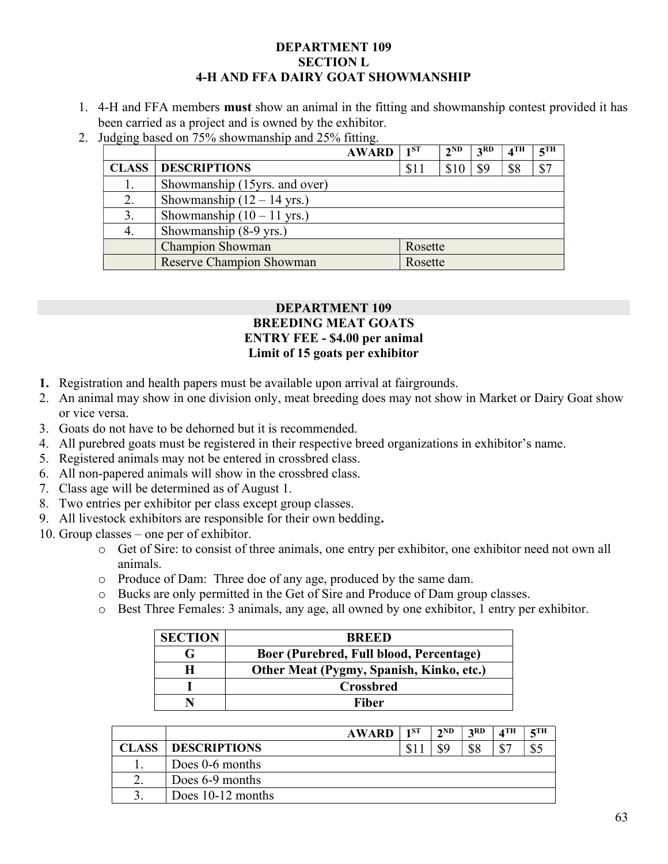### DEPARTMENT 109 SECTION L 4-H AND FFA DAIRY GOAT SHOWMANSHIP

- 1. 4-H and FFA members must show an animal in the fitting and showmanship contest provided it has been carried as a project and is owned by the exhibitor.
- 2. Judging based on 75% showmanship and 25% fitting.

|              |                                      | <b>AWARD</b> | $1^{ST}$ | $2^{ND}$ | 3RD | $4$ TH | 5TH |
|--------------|--------------------------------------|--------------|----------|----------|-----|--------|-----|
| <b>CLASS</b> | <b>DESCRIPTIONS</b>                  |              | \$11     | \$10     | \$9 | \$8    | \$7 |
| 1.           | Showmanship (15yrs. and over)        |              |          |          |     |        |     |
| 2.           | Showmanship $(12 – 14$ yrs.)         |              |          |          |     |        |     |
| 3.           | Showmanship $(10 - 11 \text{ yrs.})$ |              |          |          |     |        |     |
| 4.           | Showmanship (8-9 yrs.)               |              |          |          |     |        |     |
|              | <b>Champion Showman</b>              |              | Rosette  |          |     |        |     |
|              | Reserve Champion Showman             |              | Rosette  |          |     |        |     |

## DEPARTMENT 109 BREEDING MEAT GOATS ENTRY FEE - \$4.00 per animal Limit of 15 goats per exhibitor

- 1. Registration and health papers must be available upon arrival at fairgrounds.
- 2. An animal may show in one division only, meat breeding does may not show in Market or Dairy Goat show or vice versa.
- 3. Goats do not have to be dehorned but it is recommended.
- 4. All purebred goats must be registered in their respective breed organizations in exhibitor's name.
- 5. Registered animals may not be entered in crossbred class.
- 6. All non-papered animals will show in the crossbred class.
- 7. Class age will be determined as of August 1.
- 8. Two entries per exhibitor per class except group classes.
- 9. All livestock exhibitors are responsible for their own bedding.
- 10. Group classes one per of exhibitor.
	- o Get of Sire: to consist of three animals, one entry per exhibitor, one exhibitor need not own all animals.
	- o Produce of Dam: Three doe of any age, produced by the same dam.
	- o Bucks are only permitted in the Get of Sire and Produce of Dam group classes.
	- o Best Three Females: 3 animals, any age, all owned by one exhibitor, 1 entry per exhibitor.

| <b>SECTION</b> | <b>RREED</b>                             |
|----------------|------------------------------------------|
|                | Boer (Purebred, Full blood, Percentage)  |
|                | Other Meat (Pygmy, Spanish, Kinko, etc.) |
|                | Crossbred                                |
|                | Fiber                                    |

|               |                     | <b>AWARD</b> | 1ST | 2ND | 2RD | $\boldsymbol{A}$ TH | $\epsilon$ TH |
|---------------|---------------------|--------------|-----|-----|-----|---------------------|---------------|
| <b>CLASS</b>  | <b>DESCRIPTIONS</b> |              | \$1 |     | ¢о  | $\mathbb{C}$<br>Φ   | ن ق           |
|               | Does 0-6 months     |              |     |     |     |                     |               |
| $\mathcal{D}$ | Does 6-9 months     |              |     |     |     |                     |               |
|               | Does $10-12$ months |              |     |     |     |                     |               |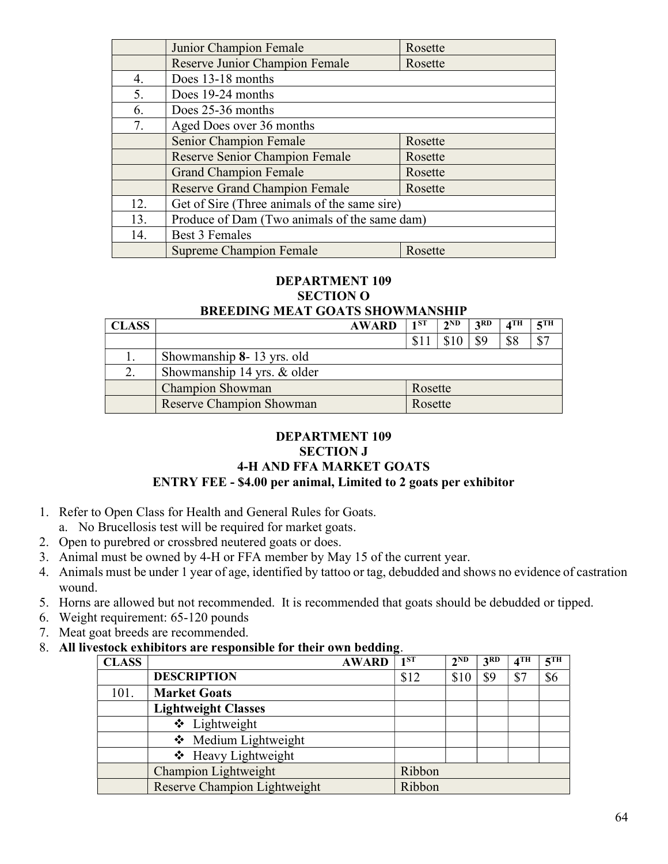|     | Junior Champion Female                       | Rosette |
|-----|----------------------------------------------|---------|
|     | Reserve Junior Champion Female               | Rosette |
| 4.  | Does 13-18 months                            |         |
| 5.  | Does 19-24 months                            |         |
| 6.  | Does 25-36 months                            |         |
| 7.  | Aged Does over 36 months                     |         |
|     | Senior Champion Female                       | Rosette |
|     | Reserve Senior Champion Female               | Rosette |
|     | <b>Grand Champion Female</b>                 | Rosette |
|     | <b>Reserve Grand Champion Female</b>         | Rosette |
| 12. | Get of Sire (Three animals of the same sire) |         |
| 13. | Produce of Dam (Two animals of the same dam) |         |
| 14. | Best 3 Females                               |         |
|     | <b>Supreme Champion Female</b>               | Rosette |

## DEPARTMENT 109 SECTION O

# BREEDING MEAT GOATS SHOWMANSHIP

| <b>CLASS</b> |                                 | <b>AWARD</b> | 1ST     | $2^{ND}$ | 2RD | $\boldsymbol{A}^{\mathrm{TH}}$ | $\epsilon$ TH |
|--------------|---------------------------------|--------------|---------|----------|-----|--------------------------------|---------------|
|              |                                 |              |         |          |     | \$8                            | ሰጣ            |
|              | Showmanship 8-13 yrs. old       |              |         |          |     |                                |               |
|              | Showmanship 14 yrs. & older     |              |         |          |     |                                |               |
|              | <b>Champion Showman</b>         |              | Rosette |          |     |                                |               |
|              | <b>Reserve Champion Showman</b> |              | Rosette |          |     |                                |               |

## DEPARTMENT 109 SECTION J 4-H AND FFA MARKET GOATS ENTRY FEE - \$4.00 per animal, Limited to 2 goats per exhibitor

- 1. Refer to Open Class for Health and General Rules for Goats.
	- a. No Brucellosis test will be required for market goats.
- 2. Open to purebred or crossbred neutered goats or does.
- 3. Animal must be owned by 4-H or FFA member by May 15 of the current year.
- 4. Animals must be under 1 year of age, identified by tattoo or tag, debudded and shows no evidence of castration wound.
- 5. Horns are allowed but not recommended. It is recommended that goats should be debudded or tipped.
- 6. Weight requirement: 65-120 pounds
- 7. Meat goat breeds are recommended.
- 8. All livestock exhibitors are responsible for their own bedding.

| <b>CLASS</b> |                                     | <b>AWARD</b> | 1 <sup>ST</sup> | $2^{ND}$ | 3 <sup>RD</sup> | 4 <sup>TH</sup> | 5 <sup>TH</sup> |
|--------------|-------------------------------------|--------------|-----------------|----------|-----------------|-----------------|-----------------|
|              | <b>DESCRIPTION</b>                  |              | \$12            | \$10     | \$9             | \$7             | \$6             |
| 101.         | <b>Market Goats</b>                 |              |                 |          |                 |                 |                 |
|              | <b>Lightweight Classes</b>          |              |                 |          |                 |                 |                 |
|              | ❖ Lightweight                       |              |                 |          |                 |                 |                 |
|              | ❖ Medium Lightweight                |              |                 |          |                 |                 |                 |
|              | ❖ Heavy Lightweight                 |              |                 |          |                 |                 |                 |
|              | Champion Lightweight                |              | Ribbon          |          |                 |                 |                 |
|              | <b>Reserve Champion Lightweight</b> |              | Ribbon          |          |                 |                 |                 |